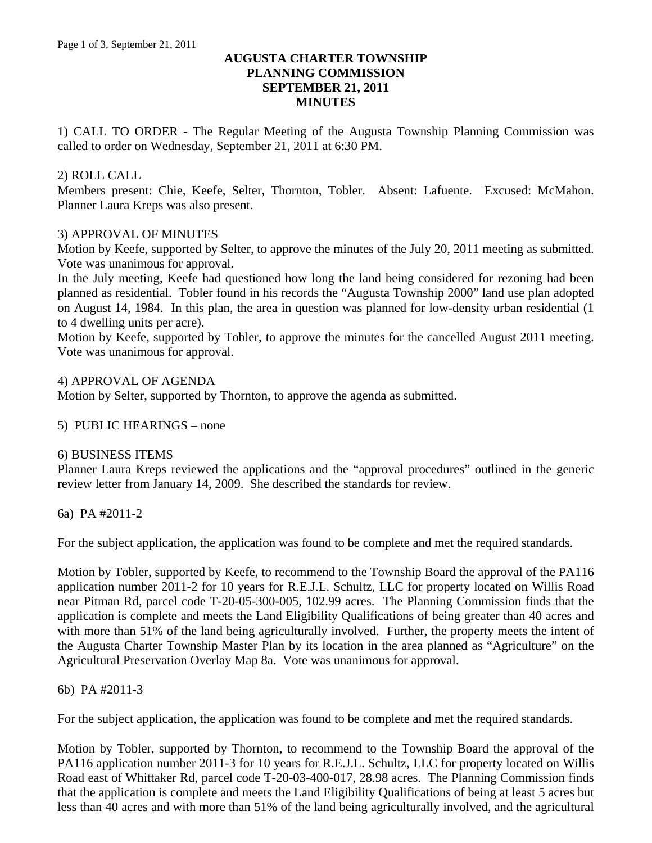# **AUGUSTA CHARTER TOWNSHIP PLANNING COMMISSION SEPTEMBER 21, 2011 MINUTES**

1) CALL TO ORDER - The Regular Meeting of the Augusta Township Planning Commission was called to order on Wednesday, September 21, 2011 at 6:30 PM.

# 2) ROLL CALL

Members present: Chie, Keefe, Selter, Thornton, Tobler. Absent: Lafuente. Excused: McMahon. Planner Laura Kreps was also present.

### 3) APPROVAL OF MINUTES

Motion by Keefe, supported by Selter, to approve the minutes of the July 20, 2011 meeting as submitted. Vote was unanimous for approval.

In the July meeting, Keefe had questioned how long the land being considered for rezoning had been planned as residential. Tobler found in his records the "Augusta Township 2000" land use plan adopted on August 14, 1984. In this plan, the area in question was planned for low-density urban residential (1 to 4 dwelling units per acre).

Motion by Keefe, supported by Tobler, to approve the minutes for the cancelled August 2011 meeting. Vote was unanimous for approval.

### 4) APPROVAL OF AGENDA

Motion by Selter, supported by Thornton, to approve the agenda as submitted.

5) PUBLIC HEARINGS – none

### 6) BUSINESS ITEMS

Planner Laura Kreps reviewed the applications and the "approval procedures" outlined in the generic review letter from January 14, 2009. She described the standards for review.

6a) PA #2011-2

For the subject application, the application was found to be complete and met the required standards.

Motion by Tobler, supported by Keefe, to recommend to the Township Board the approval of the PA116 application number 2011-2 for 10 years for R.E.J.L. Schultz, LLC for property located on Willis Road near Pitman Rd, parcel code T-20-05-300-005, 102.99 acres. The Planning Commission finds that the application is complete and meets the Land Eligibility Qualifications of being greater than 40 acres and with more than 51% of the land being agriculturally involved. Further, the property meets the intent of the Augusta Charter Township Master Plan by its location in the area planned as "Agriculture" on the Agricultural Preservation Overlay Map 8a. Vote was unanimous for approval.

### 6b) PA #2011-3

For the subject application, the application was found to be complete and met the required standards.

Motion by Tobler, supported by Thornton, to recommend to the Township Board the approval of the PA116 application number 2011-3 for 10 years for R.E.J.L. Schultz, LLC for property located on Willis Road east of Whittaker Rd, parcel code T-20-03-400-017, 28.98 acres. The Planning Commission finds that the application is complete and meets the Land Eligibility Qualifications of being at least 5 acres but less than 40 acres and with more than 51% of the land being agriculturally involved, and the agricultural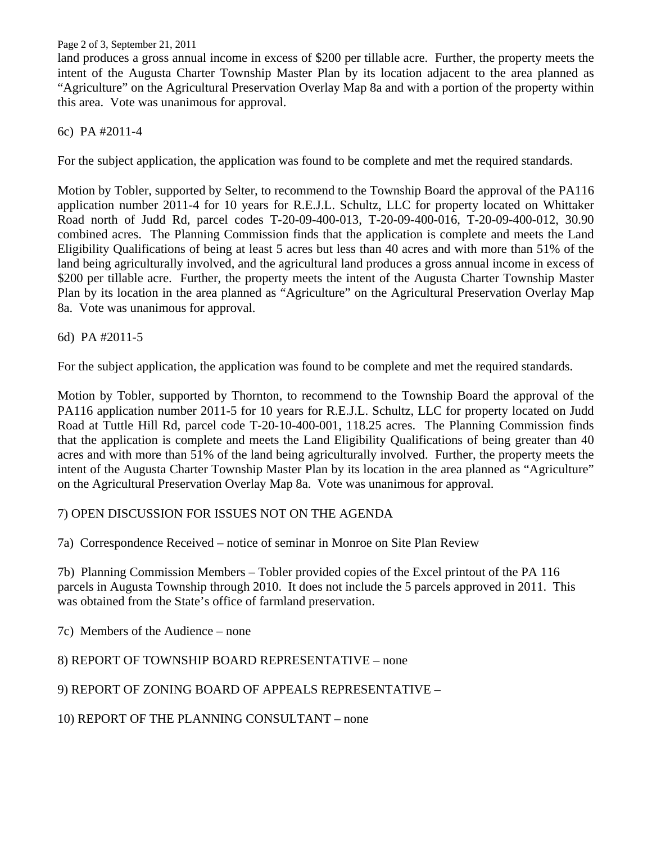Page 2 of 3, September 21, 2011

land produces a gross annual income in excess of \$200 per tillable acre. Further, the property meets the intent of the Augusta Charter Township Master Plan by its location adjacent to the area planned as "Agriculture" on the Agricultural Preservation Overlay Map 8a and with a portion of the property within this area. Vote was unanimous for approval.

## 6c) PA #2011-4

For the subject application, the application was found to be complete and met the required standards.

Motion by Tobler, supported by Selter, to recommend to the Township Board the approval of the PA116 application number 2011-4 for 10 years for R.E.J.L. Schultz, LLC for property located on Whittaker Road north of Judd Rd, parcel codes T-20-09-400-013, T-20-09-400-016, T-20-09-400-012, 30.90 combined acres. The Planning Commission finds that the application is complete and meets the Land Eligibility Qualifications of being at least 5 acres but less than 40 acres and with more than 51% of the land being agriculturally involved, and the agricultural land produces a gross annual income in excess of \$200 per tillable acre. Further, the property meets the intent of the Augusta Charter Township Master Plan by its location in the area planned as "Agriculture" on the Agricultural Preservation Overlay Map 8a. Vote was unanimous for approval.

### 6d) PA #2011-5

For the subject application, the application was found to be complete and met the required standards.

Motion by Tobler, supported by Thornton, to recommend to the Township Board the approval of the PA116 application number 2011-5 for 10 years for R.E.J.L. Schultz, LLC for property located on Judd Road at Tuttle Hill Rd, parcel code T-20-10-400-001, 118.25 acres. The Planning Commission finds that the application is complete and meets the Land Eligibility Qualifications of being greater than 40 acres and with more than 51% of the land being agriculturally involved. Further, the property meets the intent of the Augusta Charter Township Master Plan by its location in the area planned as "Agriculture" on the Agricultural Preservation Overlay Map 8a. Vote was unanimous for approval.

# 7) OPEN DISCUSSION FOR ISSUES NOT ON THE AGENDA

7a) Correspondence Received – notice of seminar in Monroe on Site Plan Review

7b) Planning Commission Members – Tobler provided copies of the Excel printout of the PA 116 parcels in Augusta Township through 2010. It does not include the 5 parcels approved in 2011. This was obtained from the State's office of farmland preservation.

7c) Members of the Audience – none

# 8) REPORT OF TOWNSHIP BOARD REPRESENTATIVE – none

9) REPORT OF ZONING BOARD OF APPEALS REPRESENTATIVE –

10) REPORT OF THE PLANNING CONSULTANT – none